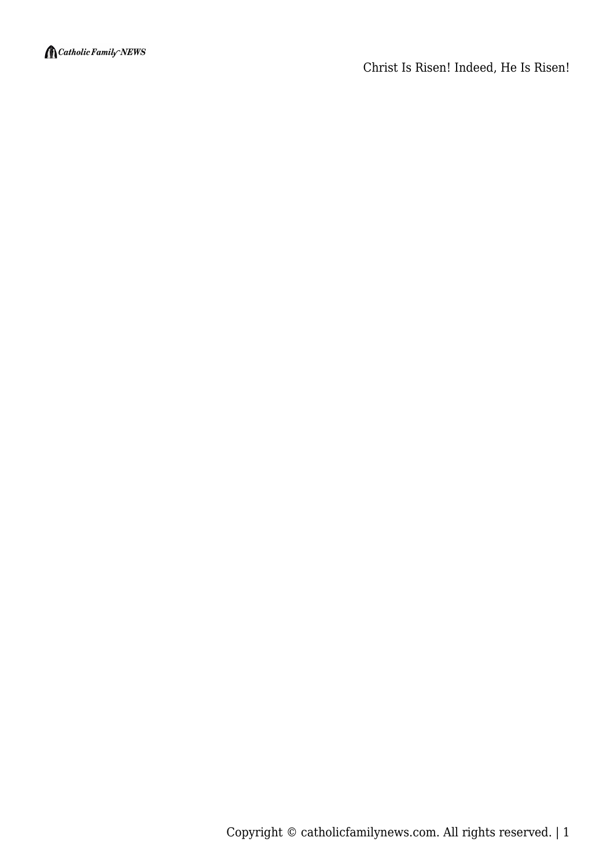

Christ Is Risen! Indeed, He Is Risen!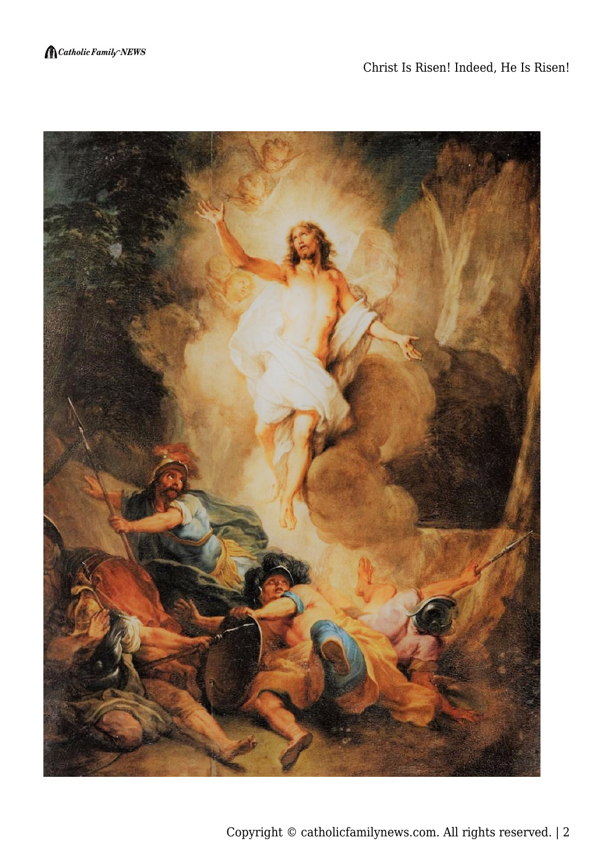